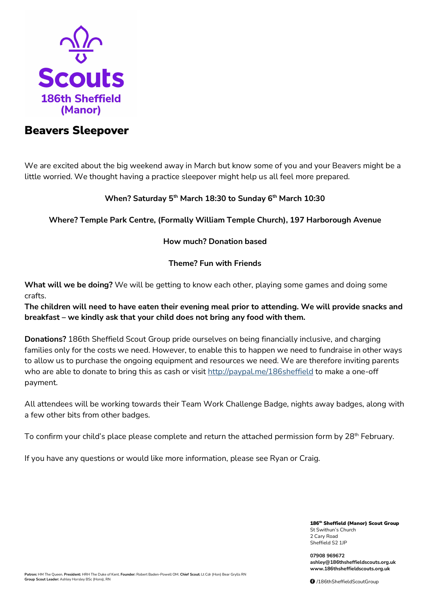

## Beavers Sleepover

We are excited about the big weekend away in March but know some of you and your Beavers might be a little worried. We thought having a practice sleepover might help us all feel more prepared.

## **When? Saturday 5th March 18:30 to Sunday 6th March 10:30**

**Where? Temple Park Centre, (Formally William Temple Church), 197 Harborough Avenue**

### **How much? Donation based**

## **Theme? Fun with Friends**

**What will we be doing?** We will be getting to know each other, playing some games and doing some crafts.

**The children will need to have eaten their evening meal prior to attending. We will provide snacks and breakfast – we kindly ask that your child does not bring any food with them.**

**Donations?** 186th Sheffield Scout Group pride ourselves on being financially inclusive, and charging families only for the costs we need. However, to enable this to happen we need to fundraise in other ways to allow us to purchase the ongoing equipment and resources we need. We are therefore inviting parents who are able to donate to bring this as cash or visit<http://paypal.me/186sheffield> to make a one-off payment.

All attendees will be working towards their Team Work Challenge Badge, nights away badges, along with a few other bits from other badges.

To confirm your child's place please complete and return the attached permission form by 28<sup>th</sup> February.

If you have any questions or would like more information, please see Ryan or Craig.

186<sup>th</sup> Sheffield (Manor) Scout Group St Swithun's Church 2 Cary Road Sheffield S2 1JP

**07908 969672 ashley@186thsheffieldscouts.org.uk www.186thsheffieldscouts.org.uk**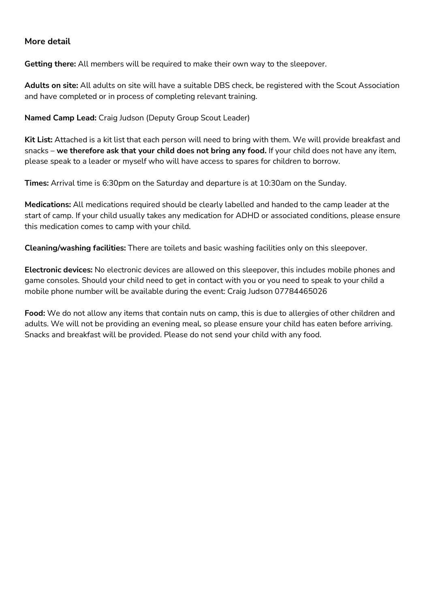## **More detail**

**Getting there:** All members will be required to make their own way to the sleepover.

**Adults on site:** All adults on site will have a suitable DBS check, be registered with the Scout Association and have completed or in process of completing relevant training.

**Named Camp Lead:** Craig Judson (Deputy Group Scout Leader)

**Kit List:** Attached is a kit list that each person will need to bring with them. We will provide breakfast and snacks – **we therefore ask that your child does not bring any food.** If your child does not have any item, please speak to a leader or myself who will have access to spares for children to borrow.

**Times:** Arrival time is 6:30pm on the Saturday and departure is at 10:30am on the Sunday.

**Medications:** All medications required should be clearly labelled and handed to the camp leader at the start of camp. If your child usually takes any medication for ADHD or associated conditions, please ensure this medication comes to camp with your child.

**Cleaning/washing facilities:** There are toilets and basic washing facilities only on this sleepover.

**Electronic devices:** No electronic devices are allowed on this sleepover, this includes mobile phones and game consoles. Should your child need to get in contact with you or you need to speak to your child a mobile phone number will be available during the event: Craig Judson 07784465026

**Food:** We do not allow any items that contain nuts on camp, this is due to allergies of other children and adults. We will not be providing an evening meal, so please ensure your child has eaten before arriving. Snacks and breakfast will be provided. Please do not send your child with any food.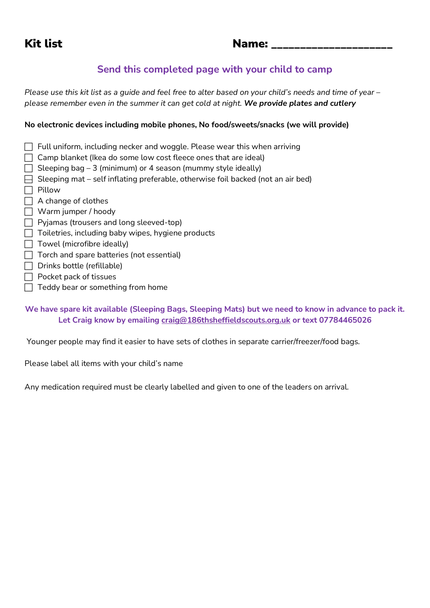# Kit list and the Name: the Name: the Name: the Name of Name of Name of Name of Name of Name of Name of Name of N

## **Send this completed page with your child to camp**

*Please use this kit list as a guide and feel free to alter based on your child's needs and time of year – please remember even in the summer it can get cold at night. We provide plates and cutlery*

## **No electronic devices including mobile phones, No food/sweets/snacks (we will provide)**

- $\Box$  Full uniform, including necker and woggle. Please wear this when arriving
- $\Box$  Camp blanket (Ikea do some low cost fleece ones that are ideal)
- $\Box$  Sleeping bag 3 (minimum) or 4 season (mummy style ideally)
- $\Box$  Sleeping mat self inflating preferable, otherwise foil backed (not an air bed)
- $\Box$  Pillow
- □ A change of clothes
- Warm jumper / hoody
- $\Box$  Pyjamas (trousers and long sleeved-top)
- $\Box$  Toiletries, including baby wipes, hygiene products
- $\Box$  Towel (microfibre ideally)
- $\Box$  Torch and spare batteries (not essential)
- $\Box$  Drinks bottle (refillable)
- $\Box$  Pocket pack of tissues
- $\Box$  Teddy bear or something from home

**We have spare kit available (Sleeping Bags, Sleeping Mats) but we need to know in advance to pack it. Let Craig know by emailing [craig@186thsheffieldscouts.org.uk](mailto:craig@186thsheffieldscouts.org.uk) or text 07784465026**

Younger people may find it easier to have sets of clothes in separate carrier/freezer/food bags.

Please label all items with your child's name

Any medication required must be clearly labelled and given to one of the leaders on arrival.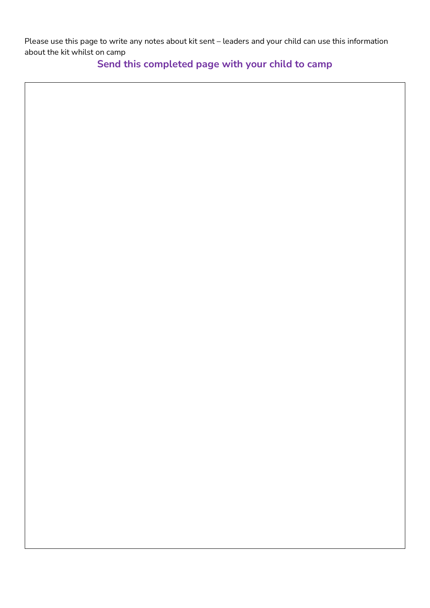Please use this page to write any notes about kit sent – leaders and your child can use this information about the kit whilst on camp

**Send this completed page with your child to camp**